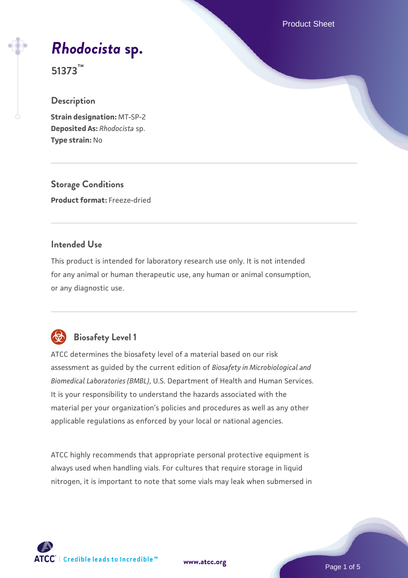Product Sheet

# *[Rhodocista](https://www.atcc.org/products/51373)* **[sp.](https://www.atcc.org/products/51373)**

**51373™**

### **Description**

**Strain designation:** MT-SP-2 **Deposited As:** *Rhodocista* sp. **Type strain:** No

**Storage Conditions Product format:** Freeze-dried

### **Intended Use**

This product is intended for laboratory research use only. It is not intended for any animal or human therapeutic use, any human or animal consumption, or any diagnostic use.



## **Biosafety Level 1**

ATCC determines the biosafety level of a material based on our risk assessment as guided by the current edition of *Biosafety in Microbiological and Biomedical Laboratories (BMBL)*, U.S. Department of Health and Human Services. It is your responsibility to understand the hazards associated with the material per your organization's policies and procedures as well as any other applicable regulations as enforced by your local or national agencies.

ATCC highly recommends that appropriate personal protective equipment is always used when handling vials. For cultures that require storage in liquid nitrogen, it is important to note that some vials may leak when submersed in

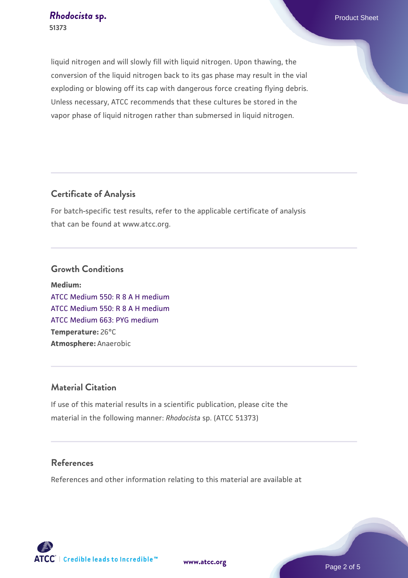liquid nitrogen and will slowly fill with liquid nitrogen. Upon thawing, the conversion of the liquid nitrogen back to its gas phase may result in the vial exploding or blowing off its cap with dangerous force creating flying debris. Unless necessary, ATCC recommends that these cultures be stored in the vapor phase of liquid nitrogen rather than submersed in liquid nitrogen.

### **Certificate of Analysis**

For batch-specific test results, refer to the applicable certificate of analysis that can be found at www.atcc.org.

#### **Growth Conditions**

**Medium:**  [ATCC Medium 550: R 8 A H medium](https://www.atcc.org/-/media/product-assets/documents/microbial-media-formulations/5/5/0/atcc-medium-550.pdf?rev=277c63d72c624a209f5db6c3a3216d20) [ATCC Medium 550: R 8 A H medium](https://www.atcc.org/-/media/product-assets/documents/microbial-media-formulations/5/5/0/atcc-medium-550.pdf?rev=277c63d72c624a209f5db6c3a3216d20) [ATCC Medium 663: PYG medium](https://www.atcc.org/-/media/product-assets/documents/microbial-media-formulations/6/6/3/atcc-medium-663.pdf?rev=39d2fb8d4f224afdb850fb1c1ce4c471) **Temperature:** 26°C **Atmosphere:** Anaerobic

### **Material Citation**

If use of this material results in a scientific publication, please cite the material in the following manner: *Rhodocista* sp. (ATCC 51373)

### **References**

References and other information relating to this material are available at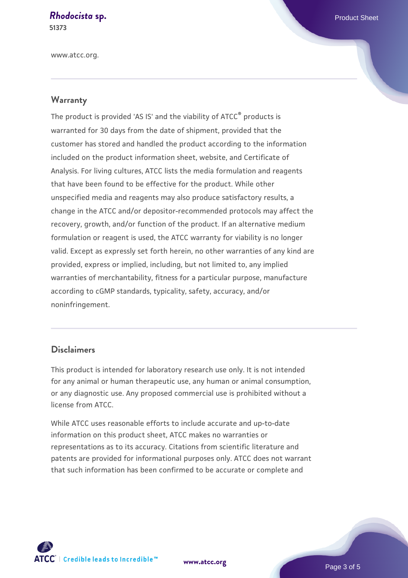## **[Rhodocista](https://www.atcc.org/products/51373) [sp.](https://www.atcc.org/products/51373)** Product Sheet

**51373**

www.atcc.org.

### **Warranty**

The product is provided 'AS IS' and the viability of ATCC® products is warranted for 30 days from the date of shipment, provided that the customer has stored and handled the product according to the information included on the product information sheet, website, and Certificate of Analysis. For living cultures, ATCC lists the media formulation and reagents that have been found to be effective for the product. While other unspecified media and reagents may also produce satisfactory results, a change in the ATCC and/or depositor-recommended protocols may affect the recovery, growth, and/or function of the product. If an alternative medium formulation or reagent is used, the ATCC warranty for viability is no longer valid. Except as expressly set forth herein, no other warranties of any kind are provided, express or implied, including, but not limited to, any implied warranties of merchantability, fitness for a particular purpose, manufacture according to cGMP standards, typicality, safety, accuracy, and/or noninfringement.

### **Disclaimers**

This product is intended for laboratory research use only. It is not intended for any animal or human therapeutic use, any human or animal consumption, or any diagnostic use. Any proposed commercial use is prohibited without a license from ATCC.

While ATCC uses reasonable efforts to include accurate and up-to-date information on this product sheet, ATCC makes no warranties or representations as to its accuracy. Citations from scientific literature and patents are provided for informational purposes only. ATCC does not warrant that such information has been confirmed to be accurate or complete and



**[www.atcc.org](http://www.atcc.org)**

Page 3 of 5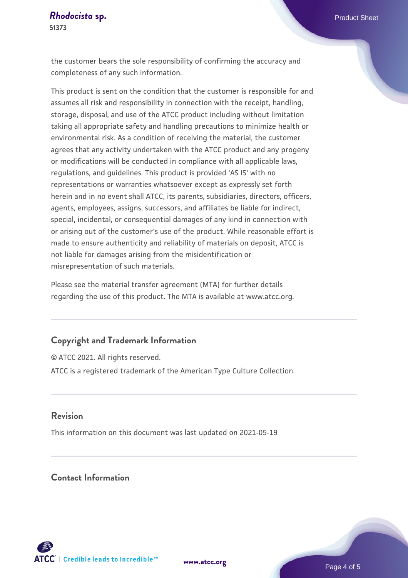the customer bears the sole responsibility of confirming the accuracy and completeness of any such information.

This product is sent on the condition that the customer is responsible for and assumes all risk and responsibility in connection with the receipt, handling, storage, disposal, and use of the ATCC product including without limitation taking all appropriate safety and handling precautions to minimize health or environmental risk. As a condition of receiving the material, the customer agrees that any activity undertaken with the ATCC product and any progeny or modifications will be conducted in compliance with all applicable laws, regulations, and guidelines. This product is provided 'AS IS' with no representations or warranties whatsoever except as expressly set forth herein and in no event shall ATCC, its parents, subsidiaries, directors, officers, agents, employees, assigns, successors, and affiliates be liable for indirect, special, incidental, or consequential damages of any kind in connection with or arising out of the customer's use of the product. While reasonable effort is made to ensure authenticity and reliability of materials on deposit, ATCC is not liable for damages arising from the misidentification or misrepresentation of such materials.

Please see the material transfer agreement (MTA) for further details regarding the use of this product. The MTA is available at www.atcc.org.

### **Copyright and Trademark Information**

© ATCC 2021. All rights reserved. ATCC is a registered trademark of the American Type Culture Collection.

#### **Revision**

This information on this document was last updated on 2021-05-19

### **Contact Information**



**[www.atcc.org](http://www.atcc.org)**